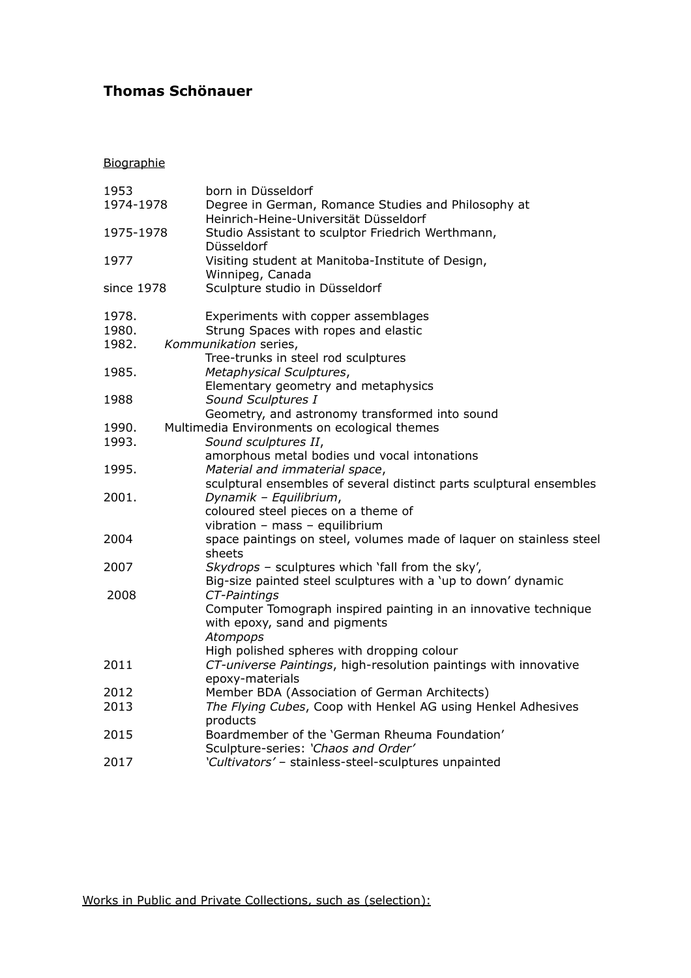## **Thomas Schönauer**

**Biographie** 

| 1953       | born in Düsseldorf                                                       |
|------------|--------------------------------------------------------------------------|
| 1974-1978  | Degree in German, Romance Studies and Philosophy at                      |
|            | Heinrich-Heine-Universität Düsseldorf                                    |
| 1975-1978  | Studio Assistant to sculptor Friedrich Werthmann,                        |
|            | Düsseldorf                                                               |
| 1977       | Visiting student at Manitoba-Institute of Design,                        |
|            | Winnipeg, Canada                                                         |
| since 1978 | Sculpture studio in Düsseldorf                                           |
| 1978.      | Experiments with copper assemblages                                      |
| 1980.      | Strung Spaces with ropes and elastic                                     |
| 1982.      | Kommunikation series,                                                    |
|            | Tree-trunks in steel rod sculptures                                      |
| 1985.      | Metaphysical Sculptures,                                                 |
|            | Elementary geometry and metaphysics                                      |
| 1988       | Sound Sculptures I                                                       |
|            | Geometry, and astronomy transformed into sound                           |
| 1990.      | Multimedia Environments on ecological themes                             |
| 1993.      | Sound sculptures II,                                                     |
|            | amorphous metal bodies und vocal intonations                             |
| 1995.      | Material and immaterial space,                                           |
|            | sculptural ensembles of several distinct parts sculptural ensembles      |
| 2001.      | Dynamik - Equilibrium,                                                   |
|            | coloured steel pieces on a theme of                                      |
|            | vibration - mass - equilibrium                                           |
| 2004       | space paintings on steel, volumes made of laquer on stainless steel      |
|            | sheets                                                                   |
| 2007       | Skydrops - sculptures which 'fall from the sky',                         |
|            | Big-size painted steel sculptures with a 'up to down' dynamic            |
| 2008       | CT-Paintings                                                             |
|            | Computer Tomograph inspired painting in an innovative technique          |
|            | with epoxy, sand and pigments                                            |
|            | Atompops                                                                 |
|            | High polished spheres with dropping colour                               |
| 2011       | CT-universe Paintings, high-resolution paintings with innovative         |
|            | epoxy-materials                                                          |
| 2012       | Member BDA (Association of German Architects)                            |
| 2013       | The Flying Cubes, Coop with Henkel AG using Henkel Adhesives<br>products |
| 2015       | Boardmember of the 'German Rheuma Foundation'                            |
|            | Sculpture-series: 'Chaos and Order'                                      |
| 2017       | 'Cultivators' - stainless-steel-sculptures unpainted                     |
|            |                                                                          |